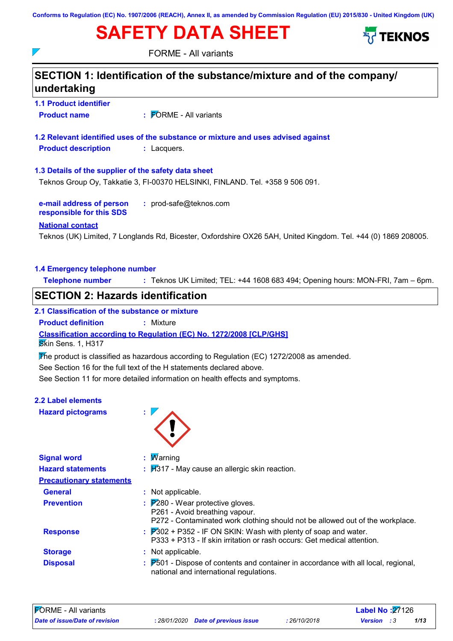# **SAFETY DATA SHEET**



FORME - All variants

| undertaking                                          | SECTION 1: Identification of the substance/mixture and of the company/                                                                            |
|------------------------------------------------------|---------------------------------------------------------------------------------------------------------------------------------------------------|
| <b>1.1 Product identifier</b>                        |                                                                                                                                                   |
| <b>Product name</b>                                  | $\therefore$ $\cancel{F}$ ORME - All variants                                                                                                     |
|                                                      | 1.2 Relevant identified uses of the substance or mixture and uses advised against                                                                 |
| <b>Product description</b>                           | : Lacquers.                                                                                                                                       |
| 1.3 Details of the supplier of the safety data sheet | Teknos Group Oy, Takkatie 3, FI-00370 HELSINKI, FINLAND. Tel. +358 9 506 091.                                                                     |
| e-mail address of person<br>responsible for this SDS | : prod-safe@teknos.com                                                                                                                            |
| <b>National contact</b>                              |                                                                                                                                                   |
|                                                      | Teknos (UK) Limited, 7 Longlands Rd, Bicester, Oxfordshire OX26 5AH, United Kingdom. Tel. +44 (0) 1869 208005.                                    |
| 1.4 Emergency telephone number                       |                                                                                                                                                   |
| <b>Telephone number</b>                              | : Teknos UK Limited; TEL: +44 1608 683 494; Opening hours: MON-FRI, 7am - 6pm.                                                                    |
| <b>SECTION 2: Hazards identification</b>             |                                                                                                                                                   |
| 2.1 Classification of the substance or mixture       |                                                                                                                                                   |
| <b>Product definition</b>                            | : Mixture                                                                                                                                         |
|                                                      | <b>Classification according to Regulation (EC) No. 1272/2008 [CLP/GHS]</b>                                                                        |
| Skin Sens. 1, H317                                   |                                                                                                                                                   |
|                                                      | The product is classified as hazardous according to Regulation (EC) 1272/2008 as amended.                                                         |
|                                                      | See Section 16 for the full text of the H statements declared above.                                                                              |
|                                                      | See Section 11 for more detailed information on health effects and symptoms.                                                                      |
| <b>2.2 Label elements</b>                            |                                                                                                                                                   |
| <b>Hazard pictograms</b>                             |                                                                                                                                                   |
|                                                      |                                                                                                                                                   |
| <b>Signal word</b>                                   | Warning                                                                                                                                           |
| <b>Hazard statements</b>                             | $H317$ - May cause an allergic skin reaction.                                                                                                     |
| <b>Precautionary statements</b>                      |                                                                                                                                                   |
| <b>General</b>                                       | Not applicable.                                                                                                                                   |
| <b>Prevention</b>                                    | P280 - Wear protective gloves.<br>P261 - Avoid breathing vapour.<br>P272 - Contaminated work clothing should not be allowed out of the workplace. |
| <b>Response</b>                                      | $P302$ + P352 - IF ON SKIN: Wash with plenty of soap and water.<br>P333 + P313 - If skin irritation or rash occurs: Get medical attention.        |
| <b>Storage</b>                                       | : Not applicable.                                                                                                                                 |
| <b>Disposal</b>                                      | <b>P</b> 501 - Dispose of contents and container in accordance with all local, regional,<br>national and international regulations.               |
|                                                      |                                                                                                                                                   |
| FORME - All variants                                 | Label No: 27126                                                                                                                                   |

 $\sqrt{}$ 

*Date of issue/Date of revision* **:** *28/01/2020 Date of previous issue : 26/10/2018 Version : 3 1/13*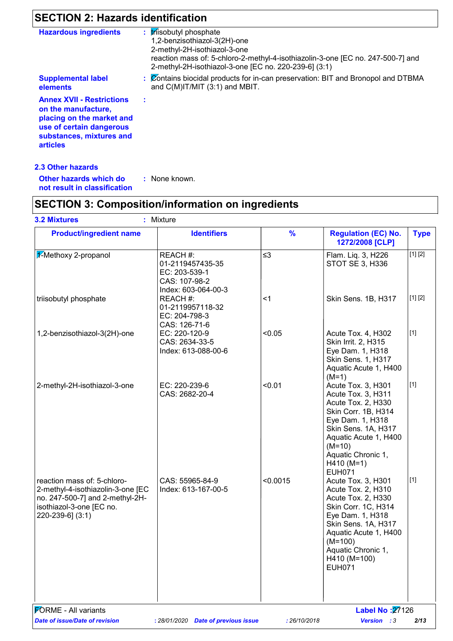# **SECTION 2: Hazards identification**

| <b>Hazardous ingredients</b>                                                                                                                                    | : trisobutyl phosphate<br>1,2-benzisothiazol-3(2H)-one<br>2-methyl-2H-isothiazol-3-one<br>reaction mass of: 5-chloro-2-methyl-4-isothiazolin-3-one [EC no. 247-500-7] and<br>2-methyl-2H-isothiazol-3-one [EC no. 220-239-6] (3:1) |
|-----------------------------------------------------------------------------------------------------------------------------------------------------------------|------------------------------------------------------------------------------------------------------------------------------------------------------------------------------------------------------------------------------------|
| <b>Supplemental label</b><br>elements                                                                                                                           | : Contains biocidal products for in-can preservation: BIT and Bronopol and DTBMA<br>and C(M)IT/MIT (3:1) and MBIT.                                                                                                                 |
| <b>Annex XVII - Restrictions</b><br>on the manufacture,<br>placing on the market and<br>use of certain dangerous<br>substances, mixtures and<br><b>articles</b> |                                                                                                                                                                                                                                    |

#### **2.3 Other hazards**

| Other hazards which do       | : None known. |  |
|------------------------------|---------------|--|
| not result in classification |               |  |

# **SECTION 3: Composition/information on ingredients**

| [1] [2]<br>1-Methoxy 2-propanol<br>REACH #:<br>≤3<br>Flam. Liq. 3, H226<br>01-2119457435-35<br>STOT SE 3, H336<br>EC: 203-539-1<br>CAS: 107-98-2<br>Index: 603-064-00-3<br>$<$ 1<br>[1] [2]<br>triisobutyl phosphate<br>REACH #:<br>Skin Sens. 1B, H317<br>01-2119957118-32<br>EC: 204-798-3<br>CAS: 126-71-6<br>$[1]$<br>EC: 220-120-9<br>< 0.05<br>1,2-benzisothiazol-3(2H)-one<br>Acute Tox. 4, H302<br>CAS: 2634-33-5<br>Skin Irrit. 2, H315<br>Index: 613-088-00-6<br>Eye Dam. 1, H318<br>Skin Sens. 1, H317<br>Aquatic Acute 1, H400<br>$(M=1)$<br>$[1]$<br>< 0.01<br>EC: 220-239-6<br>Acute Tox. 3, H301<br>CAS: 2682-20-4<br>Acute Tox. 3, H311<br>Acute Tox. 2, H330<br>Skin Corr. 1B, H314<br>Eye Dam. 1, H318<br>Skin Sens. 1A, H317<br>Aquatic Acute 1, H400<br>$(M=10)$<br>Aquatic Chronic 1,<br>$H410 (M=1)$<br><b>EUH071</b><br>< 0.0015<br>$[1]$<br>CAS: 55965-84-9<br>Acute Tox. 3, H301<br>Index: 613-167-00-5<br>Acute Tox. 2, H310<br>Acute Tox. 2, H330<br>Skin Corr. 1C, H314<br>Eye Dam. 1, H318<br>Skin Sens. 1A, H317<br>Aquatic Acute 1, H400<br>$(M=100)$<br>Aquatic Chronic 1,<br>H410 (M=100) | <b>Product/ingredient name</b> | <b>Identifiers</b> | $\frac{9}{6}$ | <b>Regulation (EC) No.</b><br>1272/2008 [CLP] | <b>Type</b> |
|----------------------------------------------------------------------------------------------------------------------------------------------------------------------------------------------------------------------------------------------------------------------------------------------------------------------------------------------------------------------------------------------------------------------------------------------------------------------------------------------------------------------------------------------------------------------------------------------------------------------------------------------------------------------------------------------------------------------------------------------------------------------------------------------------------------------------------------------------------------------------------------------------------------------------------------------------------------------------------------------------------------------------------------------------------------------------------------------------------------------------|--------------------------------|--------------------|---------------|-----------------------------------------------|-------------|
|                                                                                                                                                                                                                                                                                                                                                                                                                                                                                                                                                                                                                                                                                                                                                                                                                                                                                                                                                                                                                                                                                                                            |                                |                    |               |                                               |             |
|                                                                                                                                                                                                                                                                                                                                                                                                                                                                                                                                                                                                                                                                                                                                                                                                                                                                                                                                                                                                                                                                                                                            |                                |                    |               |                                               |             |
| 2-methyl-2H-isothiazol-3-one                                                                                                                                                                                                                                                                                                                                                                                                                                                                                                                                                                                                                                                                                                                                                                                                                                                                                                                                                                                                                                                                                               |                                |                    |               |                                               |             |
| reaction mass of: 5-chloro-<br>2-methyl-4-isothiazolin-3-one [EC<br>no. 247-500-7] and 2-methyl-2H-<br>isothiazol-3-one [EC no.<br>220-239-6] (3:1)                                                                                                                                                                                                                                                                                                                                                                                                                                                                                                                                                                                                                                                                                                                                                                                                                                                                                                                                                                        |                                |                    |               |                                               |             |
|                                                                                                                                                                                                                                                                                                                                                                                                                                                                                                                                                                                                                                                                                                                                                                                                                                                                                                                                                                                                                                                                                                                            |                                |                    |               | <b>EUH071</b>                                 |             |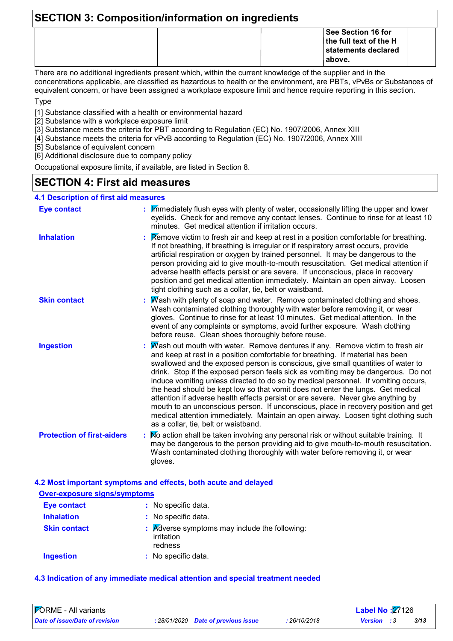| <b>SECTION 3: Composition/information on ingredients</b> |                                                                               |  |  |  |  |
|----------------------------------------------------------|-------------------------------------------------------------------------------|--|--|--|--|
|                                                          | See Section 16 for<br>the full text of the H<br>statements declared<br>above. |  |  |  |  |

There are no additional ingredients present which, within the current knowledge of the supplier and in the concentrations applicable, are classified as hazardous to health or the environment, are PBTs, vPvBs or Substances of equivalent concern, or have been assigned a workplace exposure limit and hence require reporting in this section.

**Type** 

[1] Substance classified with a health or environmental hazard

[2] Substance with a workplace exposure limit

[3] Substance meets the criteria for PBT according to Regulation (EC) No. 1907/2006, Annex XIII

[4] Substance meets the criteria for vPvB according to Regulation (EC) No. 1907/2006, Annex XIII

[5] Substance of equivalent concern

[6] Additional disclosure due to company policy

Occupational exposure limits, if available, are listed in Section 8.

### **SECTION 4: First aid measures**

| <b>4.1 Description of first aid measures</b> |                                                                                                                                                                                                                                                                                                                                                                                                                                                                                                                                                                                                                                                                                                                                                                                                                            |
|----------------------------------------------|----------------------------------------------------------------------------------------------------------------------------------------------------------------------------------------------------------------------------------------------------------------------------------------------------------------------------------------------------------------------------------------------------------------------------------------------------------------------------------------------------------------------------------------------------------------------------------------------------------------------------------------------------------------------------------------------------------------------------------------------------------------------------------------------------------------------------|
| <b>Eye contact</b>                           | : Immediately flush eyes with plenty of water, occasionally lifting the upper and lower<br>eyelids. Check for and remove any contact lenses. Continue to rinse for at least 10<br>minutes. Get medical attention if irritation occurs.                                                                                                                                                                                                                                                                                                                                                                                                                                                                                                                                                                                     |
| <b>Inhalation</b>                            | Remove victim to fresh air and keep at rest in a position comfortable for breathing.<br>If not breathing, if breathing is irregular or if respiratory arrest occurs, provide<br>artificial respiration or oxygen by trained personnel. It may be dangerous to the<br>person providing aid to give mouth-to-mouth resuscitation. Get medical attention if<br>adverse health effects persist or are severe. If unconscious, place in recovery<br>position and get medical attention immediately. Maintain an open airway. Loosen<br>tight clothing such as a collar, tie, belt or waistband.                                                                                                                                                                                                                                 |
| <b>Skin contact</b>                          | Mash with plenty of soap and water. Remove contaminated clothing and shoes.<br>Wash contaminated clothing thoroughly with water before removing it, or wear<br>gloves. Continue to rinse for at least 10 minutes. Get medical attention. In the<br>event of any complaints or symptoms, avoid further exposure. Wash clothing<br>before reuse. Clean shoes thoroughly before reuse.                                                                                                                                                                                                                                                                                                                                                                                                                                        |
| <b>Ingestion</b>                             | Wash out mouth with water. Remove dentures if any. Remove victim to fresh air<br>and keep at rest in a position comfortable for breathing. If material has been<br>swallowed and the exposed person is conscious, give small quantities of water to<br>drink. Stop if the exposed person feels sick as vomiting may be dangerous. Do not<br>induce vomiting unless directed to do so by medical personnel. If vomiting occurs,<br>the head should be kept low so that vomit does not enter the lungs. Get medical<br>attention if adverse health effects persist or are severe. Never give anything by<br>mouth to an unconscious person. If unconscious, place in recovery position and get<br>medical attention immediately. Maintain an open airway. Loosen tight clothing such<br>as a collar, tie, belt or waistband. |
| <b>Protection of first-aiders</b>            | No action shall be taken involving any personal risk or without suitable training. It<br>÷.<br>may be dangerous to the person providing aid to give mouth-to-mouth resuscitation.<br>Wash contaminated clothing thoroughly with water before removing it, or wear<br>gloves.                                                                                                                                                                                                                                                                                                                                                                                                                                                                                                                                               |

#### **4.2 Most important symptoms and effects, both acute and delayed**

| <b>Over-exposure signs/symptoms</b> |                                                                        |
|-------------------------------------|------------------------------------------------------------------------|
| <b>Eye contact</b>                  | : No specific data.                                                    |
| <b>Inhalation</b>                   | : No specific data.                                                    |
| <b>Skin contact</b>                 | : Adverse symptoms may include the following:<br>irritation<br>redness |
| <b>Ingestion</b>                    | : No specific data.                                                    |

#### **4.3 Indication of any immediate medical attention and special treatment needed**

| <b>FORME</b> - All variants    |                                      |                    | <b>Label No: <math>27126</math></b> |      |
|--------------------------------|--------------------------------------|--------------------|-------------------------------------|------|
| Date of issue/Date of revision | : 28/01/2020  Date of previous issue | $\cdot$ 26/10/2018 | <b>Version</b> : 3                  | 3/13 |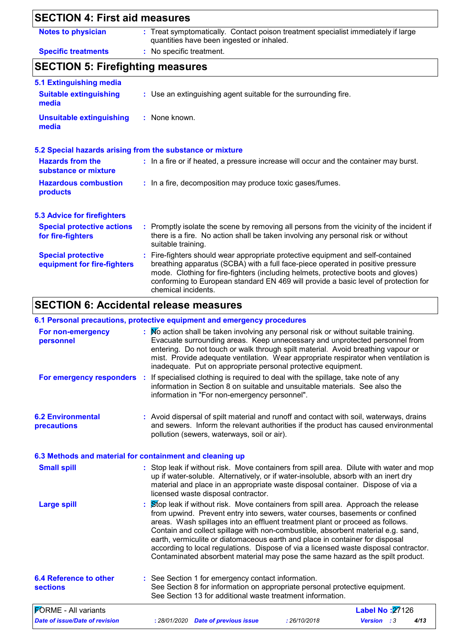### **SECTION 4: First aid measures**

**Notes to physician** : Treat symptomatically. Contact poison treatment specialist immediately if large in the symptomatically. quantities have been ingested or inhaled.

**Specific treatments :** No specific treatment.

# **SECTION 5: Firefighting measures**

| <b>5.1 Extinguishing media</b>                           |                                                                                                                                                                                                                                                                                                                                                                       |  |  |  |  |
|----------------------------------------------------------|-----------------------------------------------------------------------------------------------------------------------------------------------------------------------------------------------------------------------------------------------------------------------------------------------------------------------------------------------------------------------|--|--|--|--|
| <b>Suitable extinguishing</b><br>media                   | : Use an extinguishing agent suitable for the surrounding fire.                                                                                                                                                                                                                                                                                                       |  |  |  |  |
| <b>Unsuitable extinguishing</b><br>media                 | : None known.                                                                                                                                                                                                                                                                                                                                                         |  |  |  |  |
|                                                          | 5.2 Special hazards arising from the substance or mixture                                                                                                                                                                                                                                                                                                             |  |  |  |  |
| <b>Hazards from the</b><br>substance or mixture          | : In a fire or if heated, a pressure increase will occur and the container may burst.                                                                                                                                                                                                                                                                                 |  |  |  |  |
| <b>Hazardous combustion</b><br>products                  | : In a fire, decomposition may produce toxic gases/fumes.                                                                                                                                                                                                                                                                                                             |  |  |  |  |
| <b>5.3 Advice for firefighters</b>                       |                                                                                                                                                                                                                                                                                                                                                                       |  |  |  |  |
| <b>Special protective actions</b><br>for fire-fighters   | : Promptly isolate the scene by removing all persons from the vicinity of the incident if<br>there is a fire. No action shall be taken involving any personal risk or without<br>suitable training.                                                                                                                                                                   |  |  |  |  |
| <b>Special protective</b><br>equipment for fire-fighters | : Fire-fighters should wear appropriate protective equipment and self-contained<br>breathing apparatus (SCBA) with a full face-piece operated in positive pressure<br>mode. Clothing for fire-fighters (including helmets, protective boots and gloves)<br>conforming to European standard EN 469 will provide a basic level of protection for<br>chemical incidents. |  |  |  |  |

### **SECTION 6: Accidental release measures**

# **6.1 Personal precautions, protective equipment and emergency procedures**

| For non-emergency<br>personnel                           | $\frac{1}{2}$ Mo action shall be taken involving any personal risk or without suitable training.<br>Evacuate surrounding areas. Keep unnecessary and unprotected personnel from<br>entering. Do not touch or walk through spilt material. Avoid breathing vapour or<br>mist. Provide adequate ventilation. Wear appropriate respirator when ventilation is<br>inadequate. Put on appropriate personal protective equipment.                                                                                                                                                                     |
|----------------------------------------------------------|-------------------------------------------------------------------------------------------------------------------------------------------------------------------------------------------------------------------------------------------------------------------------------------------------------------------------------------------------------------------------------------------------------------------------------------------------------------------------------------------------------------------------------------------------------------------------------------------------|
| For emergency responders                                 | If specialised clothing is required to deal with the spillage, take note of any<br>information in Section 8 on suitable and unsuitable materials. See also the<br>information in "For non-emergency personnel".                                                                                                                                                                                                                                                                                                                                                                                 |
| <b>6.2 Environmental</b><br>precautions                  | : Avoid dispersal of spilt material and runoff and contact with soil, waterways, drains<br>and sewers. Inform the relevant authorities if the product has caused environmental<br>pollution (sewers, waterways, soil or air).                                                                                                                                                                                                                                                                                                                                                                   |
| 6.3 Methods and material for containment and cleaning up |                                                                                                                                                                                                                                                                                                                                                                                                                                                                                                                                                                                                 |
| <b>Small spill</b>                                       | : Stop leak if without risk. Move containers from spill area. Dilute with water and mop<br>up if water-soluble. Alternatively, or if water-insoluble, absorb with an inert dry<br>material and place in an appropriate waste disposal container. Dispose of via a<br>licensed waste disposal contractor.                                                                                                                                                                                                                                                                                        |
| <b>Large spill</b>                                       | Stop leak if without risk. Move containers from spill area. Approach the release<br>from upwind. Prevent entry into sewers, water courses, basements or confined<br>areas. Wash spillages into an effluent treatment plant or proceed as follows.<br>Contain and collect spillage with non-combustible, absorbent material e.g. sand,<br>earth, vermiculite or diatomaceous earth and place in container for disposal<br>according to local regulations. Dispose of via a licensed waste disposal contractor.<br>Contaminated absorbent material may pose the same hazard as the spilt product. |
| <b>6.4 Reference to other</b><br><b>sections</b>         | : See Section 1 for emergency contact information.<br>See Section 8 for information on appropriate personal protective equipment.<br>See Section 13 for additional waste treatment information.                                                                                                                                                                                                                                                                                                                                                                                                 |
| <b>FORME</b> - All variants                              | <b>Label No: 27126</b>                                                                                                                                                                                                                                                                                                                                                                                                                                                                                                                                                                          |
| <b>Date of issue/Date of revision</b>                    | : 28/01/2020 Date of previous issue<br>: 26/10/2018<br><b>Version</b> : 3<br>4/13                                                                                                                                                                                                                                                                                                                                                                                                                                                                                                               |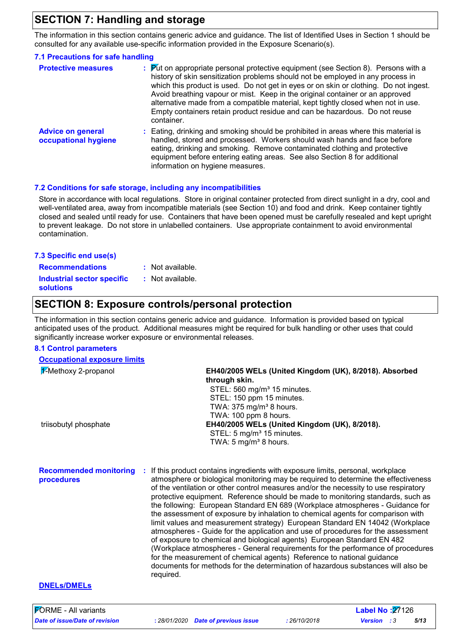# **SECTION 7: Handling and storage**

The information in this section contains generic advice and guidance. The list of Identified Uses in Section 1 should be consulted for any available use-specific information provided in the Exposure Scenario(s).

#### **7.1 Precautions for safe handling**

| <b>Protective measures</b>                       | $\frac{1}{2}$ Put on appropriate personal protective equipment (see Section 8). Persons with a<br>history of skin sensitization problems should not be employed in any process in<br>which this product is used. Do not get in eyes or on skin or clothing. Do not ingest.<br>Avoid breathing vapour or mist. Keep in the original container or an approved<br>alternative made from a compatible material, kept tightly closed when not in use.<br>Empty containers retain product residue and can be hazardous. Do not reuse<br>container. |
|--------------------------------------------------|----------------------------------------------------------------------------------------------------------------------------------------------------------------------------------------------------------------------------------------------------------------------------------------------------------------------------------------------------------------------------------------------------------------------------------------------------------------------------------------------------------------------------------------------|
| <b>Advice on general</b><br>occupational hygiene | : Eating, drinking and smoking should be prohibited in areas where this material is<br>handled, stored and processed. Workers should wash hands and face before<br>eating, drinking and smoking. Remove contaminated clothing and protective<br>equipment before entering eating areas. See also Section 8 for additional<br>information on hygiene measures.                                                                                                                                                                                |

#### **7.2 Conditions for safe storage, including any incompatibilities**

Store in accordance with local regulations. Store in original container protected from direct sunlight in a dry, cool and well-ventilated area, away from incompatible materials (see Section 10) and food and drink. Keep container tightly closed and sealed until ready for use. Containers that have been opened must be carefully resealed and kept upright to prevent leakage. Do not store in unlabelled containers. Use appropriate containment to avoid environmental contamination.

| contamination.          | to prevent leakage. Do not store in unlabelled containers. Use appropriate containment to avoid environmental |  |
|-------------------------|---------------------------------------------------------------------------------------------------------------|--|
| 7.3 Specific end use(s) |                                                                                                               |  |

**Recommendations :**

: Not available. : Not available.

**Industrial sector specific : solutions**

### **SECTION 8: Exposure controls/personal protection**

The information in this section contains generic advice and guidance. Information is provided based on typical anticipated uses of the product. Additional measures might be required for bulk handling or other uses that could significantly increase worker exposure or environmental releases.

#### **8.1 Control parameters**

| <b>Occupational exposure limits</b>               |                                                                                                                                                                                                                                                                                                                                                                                                                                                                                                                                                                                                                                                                                                                                                                                                                                                                                                                                                                                                                                  |
|---------------------------------------------------|----------------------------------------------------------------------------------------------------------------------------------------------------------------------------------------------------------------------------------------------------------------------------------------------------------------------------------------------------------------------------------------------------------------------------------------------------------------------------------------------------------------------------------------------------------------------------------------------------------------------------------------------------------------------------------------------------------------------------------------------------------------------------------------------------------------------------------------------------------------------------------------------------------------------------------------------------------------------------------------------------------------------------------|
| 1-Methoxy 2-propanol                              | EH40/2005 WELs (United Kingdom (UK), 8/2018). Absorbed<br>through skin.<br>STEL: 560 mg/m <sup>3</sup> 15 minutes.<br>STEL: 150 ppm 15 minutes.<br>TWA: 375 mg/m <sup>3</sup> 8 hours.<br>TWA: 100 ppm 8 hours.                                                                                                                                                                                                                                                                                                                                                                                                                                                                                                                                                                                                                                                                                                                                                                                                                  |
| triisobutyl phosphate                             | EH40/2005 WELs (United Kingdom (UK), 8/2018).<br>STEL: 5 mg/m <sup>3</sup> 15 minutes.<br>TWA: 5 mg/m <sup>3</sup> 8 hours.                                                                                                                                                                                                                                                                                                                                                                                                                                                                                                                                                                                                                                                                                                                                                                                                                                                                                                      |
| <b>Recommended monitoring</b><br>÷.<br>procedures | If this product contains ingredients with exposure limits, personal, workplace<br>atmosphere or biological monitoring may be required to determine the effectiveness<br>of the ventilation or other control measures and/or the necessity to use respiratory<br>protective equipment. Reference should be made to monitoring standards, such as<br>the following: European Standard EN 689 (Workplace atmospheres - Guidance for<br>the assessment of exposure by inhalation to chemical agents for comparison with<br>limit values and measurement strategy) European Standard EN 14042 (Workplace<br>atmospheres - Guide for the application and use of procedures for the assessment<br>of exposure to chemical and biological agents) European Standard EN 482<br>(Workplace atmospheres - General requirements for the performance of procedures<br>for the measurement of chemical agents) Reference to national guidance<br>documents for methods for the determination of hazardous substances will also be<br>required. |
| <b>DNELS/DMELS</b>                                |                                                                                                                                                                                                                                                                                                                                                                                                                                                                                                                                                                                                                                                                                                                                                                                                                                                                                                                                                                                                                                  |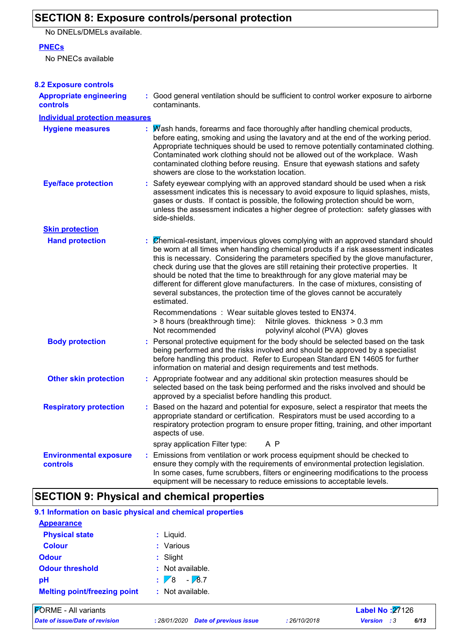# **SECTION 8: Exposure controls/personal protection**

No DNELs/DMELs available.

#### **PNECs**

No PNECs available

| <b>8.2 Exposure controls</b>                      |                                                                                                                                                                                                                                                                                                                                                                                                                                                                                                                                                                                                                           |
|---------------------------------------------------|---------------------------------------------------------------------------------------------------------------------------------------------------------------------------------------------------------------------------------------------------------------------------------------------------------------------------------------------------------------------------------------------------------------------------------------------------------------------------------------------------------------------------------------------------------------------------------------------------------------------------|
| <b>Appropriate engineering</b><br><b>controls</b> | : Good general ventilation should be sufficient to control worker exposure to airborne<br>contaminants.                                                                                                                                                                                                                                                                                                                                                                                                                                                                                                                   |
| <b>Individual protection measures</b>             |                                                                                                                                                                                                                                                                                                                                                                                                                                                                                                                                                                                                                           |
| <b>Hygiene measures</b>                           | : Mash hands, forearms and face thoroughly after handling chemical products,<br>before eating, smoking and using the lavatory and at the end of the working period.<br>Appropriate techniques should be used to remove potentially contaminated clothing.<br>Contaminated work clothing should not be allowed out of the workplace. Wash<br>contaminated clothing before reusing. Ensure that eyewash stations and safety<br>showers are close to the workstation location.                                                                                                                                               |
| <b>Eye/face protection</b>                        | : Safety eyewear complying with an approved standard should be used when a risk<br>assessment indicates this is necessary to avoid exposure to liquid splashes, mists,<br>gases or dusts. If contact is possible, the following protection should be worn,<br>unless the assessment indicates a higher degree of protection: safety glasses with<br>side-shields.                                                                                                                                                                                                                                                         |
| <b>Skin protection</b>                            |                                                                                                                                                                                                                                                                                                                                                                                                                                                                                                                                                                                                                           |
| <b>Hand protection</b>                            | : Chemical-resistant, impervious gloves complying with an approved standard should<br>be worn at all times when handling chemical products if a risk assessment indicates<br>this is necessary. Considering the parameters specified by the glove manufacturer,<br>check during use that the gloves are still retaining their protective properties. It<br>should be noted that the time to breakthrough for any glove material may be<br>different for different glove manufacturers. In the case of mixtures, consisting of<br>several substances, the protection time of the gloves cannot be accurately<br>estimated. |
|                                                   | Recommendations : Wear suitable gloves tested to EN374.<br>> 8 hours (breakthrough time): Nitrile gloves. thickness > 0.3 mm<br>Not recommended<br>polyvinyl alcohol (PVA) gloves                                                                                                                                                                                                                                                                                                                                                                                                                                         |
| <b>Body protection</b>                            | : Personal protective equipment for the body should be selected based on the task<br>being performed and the risks involved and should be approved by a specialist<br>before handling this product. Refer to European Standard EN 14605 for further<br>information on material and design requirements and test methods.                                                                                                                                                                                                                                                                                                  |
| <b>Other skin protection</b>                      | : Appropriate footwear and any additional skin protection measures should be<br>selected based on the task being performed and the risks involved and should be<br>approved by a specialist before handling this product.                                                                                                                                                                                                                                                                                                                                                                                                 |
| <b>Respiratory protection</b>                     | : Based on the hazard and potential for exposure, select a respirator that meets the<br>appropriate standard or certification. Respirators must be used according to a<br>respiratory protection program to ensure proper fitting, training, and other important<br>aspects of use.                                                                                                                                                                                                                                                                                                                                       |
|                                                   | spray application Filter type:<br>A P                                                                                                                                                                                                                                                                                                                                                                                                                                                                                                                                                                                     |
| <b>Environmental exposure</b><br>controls         | : Emissions from ventilation or work process equipment should be checked to<br>ensure they comply with the requirements of environmental protection legislation.<br>In some cases, fume scrubbers, filters or engineering modifications to the process<br>equipment will be necessary to reduce emissions to acceptable levels.                                                                                                                                                                                                                                                                                           |

## **SECTION 9: Physical and chemical properties**

| 9.1 Information on basic physical and chemical properties |                    |                 |
|-----------------------------------------------------------|--------------------|-----------------|
| <b>Appearance</b>                                         |                    |                 |
| <b>Physical state</b>                                     | $:$ Liquid.        |                 |
| <b>Colour</b>                                             | : Various          |                 |
| <b>Odour</b>                                              | $:$ Slight         |                 |
| <b>Odour threshold</b>                                    | $:$ Not available. |                 |
| pH                                                        | $\sqrt{8}$ - 78.7  |                 |
| <b>Melting point/freezing point</b>                       | $:$ Not available. |                 |
| <b>FORME</b> - All variants                               |                    | Label No: 27126 |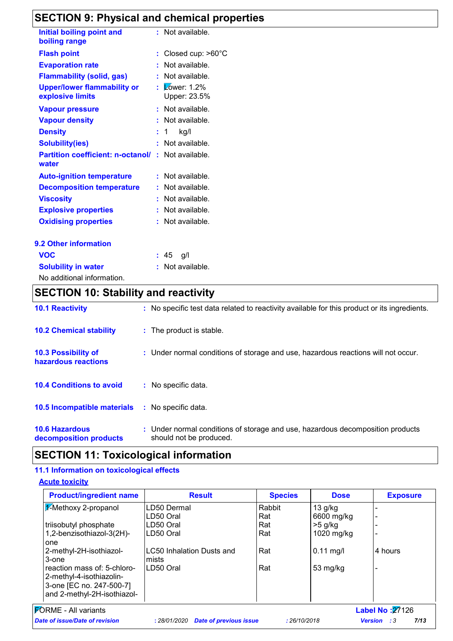# **SECTION 9: Physical and chemical properties**

| Initial boiling point and<br>boiling range                        | : Not available.                         |
|-------------------------------------------------------------------|------------------------------------------|
|                                                                   |                                          |
| <b>Flash point</b>                                                | : Closed cup: >60°C                      |
| <b>Evaporation rate</b>                                           | $:$ Not available.                       |
| <b>Flammability (solid, gas)</b>                                  | : Not available.                         |
| <b>Upper/lower flammability or</b><br>explosive limits            | $\mathsf{L}$ Dower: 1.2%<br>Upper: 23.5% |
| <b>Vapour pressure</b>                                            | $:$ Not available.                       |
| <b>Vapour density</b>                                             | : Not available.                         |
| <b>Density</b>                                                    | kg/l<br>: 1                              |
| <b>Solubility(ies)</b>                                            | : Not available.                         |
| <b>Partition coefficient: n-octanol/: Not available.</b><br>water |                                          |
| <b>Auto-ignition temperature</b>                                  | : Not available.                         |
| <b>Decomposition temperature</b>                                  | $:$ Not available.                       |
| <b>Viscosity</b>                                                  | $:$ Not available.                       |
| <b>Explosive properties</b>                                       | : Not available.                         |
| <b>Oxidising properties</b>                                       | $:$ Not available.                       |
| <b>9.2 Other information</b>                                      |                                          |
| <b>VOC</b>                                                        | : 45<br>g/                               |
| <b>Solubility in water</b>                                        | Not available.                           |
| No additional information.                                        |                                          |

# **SECTION 10: Stability and reactivity**

| <b>10.6 Hazardous</b><br>decomposition products   | : Under normal conditions of storage and use, hazardous decomposition products<br>should not be produced. |
|---------------------------------------------------|-----------------------------------------------------------------------------------------------------------|
| 10.5 Incompatible materials                       | : No specific data.                                                                                       |
| <b>10.4 Conditions to avoid</b>                   | $\therefore$ No specific data.                                                                            |
| <b>10.3 Possibility of</b><br>hazardous reactions | : Under normal conditions of storage and use, hazardous reactions will not occur.                         |
| <b>10.2 Chemical stability</b>                    | : The product is stable.                                                                                  |
| <b>10.1 Reactivity</b>                            | : No specific test data related to reactivity available for this product or its ingredients.              |

# **SECTION 11: Toxicological information**

### **11.1 Information on toxicological effects**

**Acute toxicity**

| <b>Product/ingredient name</b>    | <b>Result</b>             | <b>Species</b> | <b>Dose</b> | <b>Exposure</b> |
|-----------------------------------|---------------------------|----------------|-------------|-----------------|
| $\frac{1}{2}$ -Methoxy 2-propanol | LD50 Dermal               | Rabbit         | $13$ g/kg   |                 |
|                                   | LD50 Oral                 | Rat            | 6600 mg/kg  |                 |
| triisobutyl phosphate             | LD50 Oral                 | Rat            | $>5$ g/kg   |                 |
| 1,2-benzisothiazol-3(2H)-         | LD50 Oral                 | Rat            | 1020 mg/kg  |                 |
| one                               |                           |                |             |                 |
| 2-methyl-2H-isothiazol-           | LC50 Inhalation Dusts and | Rat            | $0.11$ mg/l | 4 hours         |
| 3-one                             | mists                     |                |             |                 |
| reaction mass of: 5-chloro-       | ILD50 Oral                | Rat            | 53 mg/kg    |                 |
| 2-methyl-4-isothiazolin-          |                           |                |             |                 |
| 3-one [EC no. 247-500-7]          |                           |                |             |                 |
| and 2-methyl-2H-isothiazol-       |                           |                |             |                 |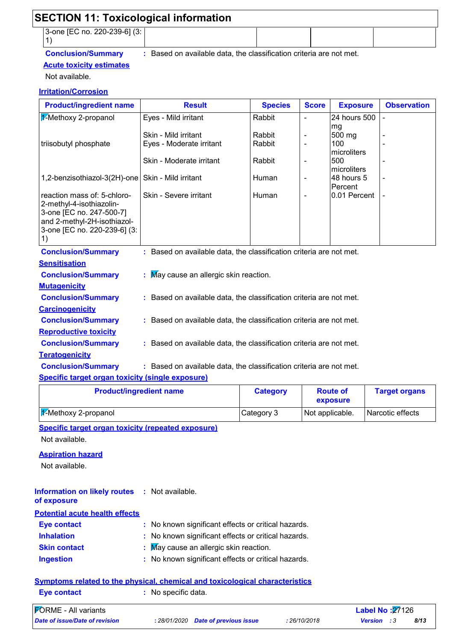| <b>SECTION 11: Toxicological information</b> |  |  |
|----------------------------------------------|--|--|
| $ 3$ -one [EC no. 220-239-6] (3: $ $         |  |  |

# **Conclusion/Summary :**

Based on available data, the classification criteria are not met.

# **Acute toxicity estimates**

Not available.

#### **Irritation/Corrosion**

| <b>Product/ingredient name</b>                                                                                                                           | <b>Result</b>                                                       | <b>Species</b>   | <b>Score</b>             | <b>Exposure</b>                    | <b>Observation</b> |
|----------------------------------------------------------------------------------------------------------------------------------------------------------|---------------------------------------------------------------------|------------------|--------------------------|------------------------------------|--------------------|
| 1-Methoxy 2-propanol                                                                                                                                     | Eyes - Mild irritant                                                | Rabbit           |                          | 24 hours 500                       |                    |
| triisobutyl phosphate                                                                                                                                    | Skin - Mild irritant<br>Eyes - Moderate irritant                    | Rabbit<br>Rabbit | $\overline{\phantom{a}}$ | mg<br>500 mg<br>100<br>microliters |                    |
|                                                                                                                                                          | Skin - Moderate irritant                                            | Rabbit           | $\overline{\phantom{a}}$ | 500<br>microliters                 |                    |
| 1,2-benzisothiazol-3(2H)-one   Skin - Mild irritant                                                                                                      |                                                                     | Human            | $\overline{\phantom{a}}$ | 48 hours 5<br>Percent              |                    |
| reaction mass of: 5-chloro-<br>2-methyl-4-isothiazolin-<br>3-one [EC no. 247-500-7]<br>and 2-methyl-2H-isothiazol-<br>3-one [EC no. 220-239-6] (3:<br>1) | Skin - Severe irritant                                              | Human            | $\blacksquare$           | 0.01 Percent                       |                    |
| <b>Conclusion/Summary</b>                                                                                                                                | : Based on available data, the classification criteria are not met. |                  |                          |                                    |                    |
| <b>Sensitisation</b>                                                                                                                                     |                                                                     |                  |                          |                                    |                    |
| <b>Conclusion/Summary</b>                                                                                                                                | : May cause an allergic skin reaction.                              |                  |                          |                                    |                    |
| <b>Mutagenicity</b>                                                                                                                                      |                                                                     |                  |                          |                                    |                    |
| <b>Conclusion/Summary</b>                                                                                                                                | : Based on available data, the classification criteria are not met. |                  |                          |                                    |                    |
| <b>Carcinogenicity</b>                                                                                                                                   |                                                                     |                  |                          |                                    |                    |
| <b>Conclusion/Summary</b>                                                                                                                                | : Based on available data, the classification criteria are not met. |                  |                          |                                    |                    |
| <b>Reproductive toxicity</b>                                                                                                                             |                                                                     |                  |                          |                                    |                    |
| <b>Conclusion/Summary</b>                                                                                                                                | : Based on available data, the classification criteria are not met. |                  |                          |                                    |                    |
| <b>Teratogenicity</b>                                                                                                                                    |                                                                     |                  |                          |                                    |                    |
| <b>Conclusion/Summary</b>                                                                                                                                | : Based on available data, the classification criteria are not met. |                  |                          |                                    |                    |

#### **Specific target organ toxicity (single exposure)**

| <b>Product/ingredient name</b>          | <b>Category</b> | <b>Route of</b><br>exposure | <b>Target organs</b> |
|-----------------------------------------|-----------------|-----------------------------|----------------------|
| $\sqrt{\frac{1}{2}}$ Methoxy 2-propanol | Category 3      | Not applicable.             | Narcotic effects     |

**Specific target organ toxicity (repeated exposure)**

Not available.

#### **Aspiration hazard**

Not available.

#### **Information on likely routes : Not available. of exposure**

**Potential acute health effects**

| <b>Eye contact</b>  | : No known significant effects or critical hazards. |
|---------------------|-----------------------------------------------------|
| <b>Inhalation</b>   | : No known significant effects or critical hazards. |
| <b>Skin contact</b> | $\therefore$ May cause an allergic skin reaction.   |
| <b>Ingestion</b>    | : No known significant effects or critical hazards. |

#### **Symptoms related to the physical, chemical and toxicological characteristics**

**Eye contact :** No specific data.

| <b>FORME</b> - All variants    |                                     |              | <b>Label No: <math>27126</math></b> |      |  |
|--------------------------------|-------------------------------------|--------------|-------------------------------------|------|--|
| Date of issue/Date of revision | : 28/01/2020 Date of previous issue | : 26/10/2018 | <b>Version</b> : 3                  | 8/13 |  |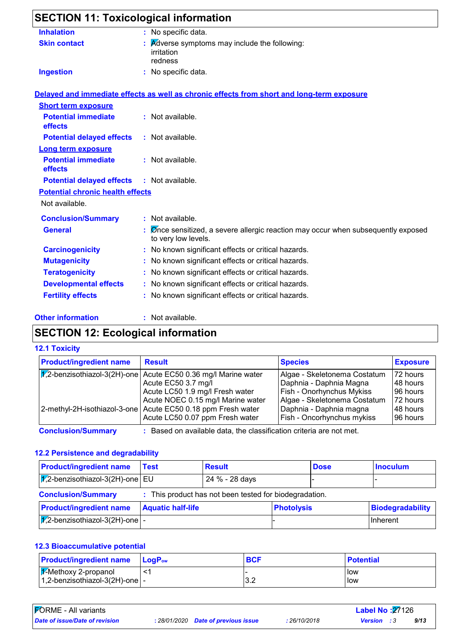| <b>SECTION 11: Toxicological information</b> |                                                                                                                                    |
|----------------------------------------------|------------------------------------------------------------------------------------------------------------------------------------|
| <b>Inhalation</b>                            | : No specific data.                                                                                                                |
| <b>Skin contact</b>                          | $\frac{1}{2}$ Mexicle symptoms may include the following:<br>irritation<br>redness                                                 |
| <b>Ingestion</b>                             | : No specific data.                                                                                                                |
|                                              | Delayed and immediate effects as well as chronic effects from short and long-term exposure                                         |
| <b>Short term exposure</b>                   |                                                                                                                                    |
| <b>Potential immediate</b><br>effects        | $:$ Not available.                                                                                                                 |
| <b>Potential delayed effects</b>             | $:$ Not available.                                                                                                                 |
| <b>Long term exposure</b>                    |                                                                                                                                    |
| <b>Potential immediate</b><br>effects        | $:$ Not available.                                                                                                                 |
| <b>Potential delayed effects</b>             | : Not available.                                                                                                                   |
| <b>Potential chronic health effects</b>      |                                                                                                                                    |
| Not available.                               |                                                                                                                                    |
| <b>Conclusion/Summary</b>                    | : Not available.                                                                                                                   |
| <b>General</b>                               | $\mathcal{D}$ $\mathcal{D}$ Mode sensitized, a severe allergic reaction may occur when subsequently exposed<br>to very low levels. |
| <b>Carcinogenicity</b>                       | : No known significant effects or critical hazards.                                                                                |
| <b>Mutagenicity</b>                          | : No known significant effects or critical hazards.                                                                                |
| <b>Teratogenicity</b>                        | : No known significant effects or critical hazards.                                                                                |
| <b>Developmental effects</b>                 | : No known significant effects or critical hazards.                                                                                |
| <b>Fertility effects</b>                     | : No known significant effects or critical hazards.                                                                                |
|                                              |                                                                                                                                    |

**Other information :**

: Not available.

# **SECTION 12: Ecological information**

#### **12.1 Toxicity**

| <b>Product/ingredient name</b> | <b>Result</b>                                                   | <b>Species</b>               | <b>Exposure</b> |
|--------------------------------|-----------------------------------------------------------------|------------------------------|-----------------|
|                                | 17.2-benzisothiazol-3(2H)-one Acute EC50 0.36 mg/l Marine water | Algae - Skeletonema Costatum | 72 hours        |
|                                | Acute EC50 3.7 mg/l                                             | Daphnia - Daphnia Magna      | I48 hours       |
| 2-methyl-2H-isothiazol-3-one   | Acute LC50 1.9 mg/l Fresh water                                 | Fish - Onorhynchus Mykiss    | 196 hours       |
|                                | Acute NOEC 0.15 mg/l Marine water                               | Algae - Skeletonema Costatum | 72 hours        |
|                                | Acute EC50 0.18 ppm Fresh water                                 | Daphnia - Daphnia magna      | 148 hours       |
|                                | Acute LC50 0.07 ppm Fresh water                                 | Fish - Oncorhynchus mykiss   | 96 hours        |

**Conclusion/Summary :** : Based on available data, the classification criteria are not met.

#### **12.2 Persistence and degradability**

| <b>Product/ingredient name</b>                                                      | Test                     | <b>Result</b>  |                   | <b>Dose</b> | <b>Inoculum</b>  |  |
|-------------------------------------------------------------------------------------|--------------------------|----------------|-------------------|-------------|------------------|--|
| $\sqrt{7}$ ,2-benzisothiazol-3(2H)-one EU                                           |                          | 24 % - 28 days |                   |             |                  |  |
| <b>Conclusion/Summary</b><br>: This product has not been tested for biodegradation. |                          |                |                   |             |                  |  |
| <b>Product/ingredient name</b>                                                      | <b>Aquatic half-life</b> |                | <b>Photolysis</b> |             | Biodegradability |  |
| $\sqrt{1/2}$ -benzisothiazol-3(2H)-one  -                                           |                          |                |                   |             | <b>Inherent</b>  |  |

#### **12.3 Bioaccumulative potential**

| <b>Product/ingredient name</b>          | <b>LogP</b> <sub>ow</sub> | <b>BCF</b> | <b>Potential</b> |
|-----------------------------------------|---------------------------|------------|------------------|
| $\sqrt{\frac{1}{2}}$ Methoxy 2-propanol |                           |            | How              |
| 1,2-benzisothiazol-3(2H)-one  -         |                           | ے.ت        | low              |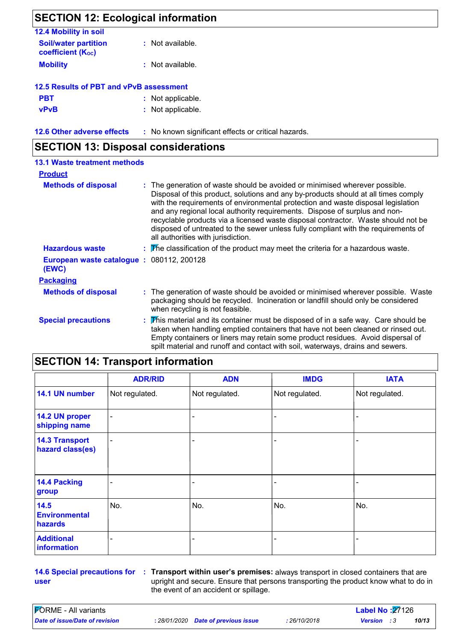# **SECTION 12: Ecological information**

| 12.4 Mobility in soil                                   |                  |
|---------------------------------------------------------|------------------|
| <b>Soil/water partition</b><br><b>coefficient (Koc)</b> | : Not available. |
| <b>Mobility</b>                                         | : Not available. |

| 12.5 Results of PBT and vPvB assessment |                   |  |  |  |  |
|-----------------------------------------|-------------------|--|--|--|--|
| <b>PBT</b>                              | : Not applicable. |  |  |  |  |
| <b>vPvB</b>                             | : Not applicable. |  |  |  |  |

**12.6 Other adverse effects** : No known significant effects or critical hazards.

# **SECTION 13: Disposal considerations**

| <b>13.1 Waste treatment methods</b>               |                                                                                                                                                                                                                                                                                                                                                                                                                                                                                                                                                      |
|---------------------------------------------------|------------------------------------------------------------------------------------------------------------------------------------------------------------------------------------------------------------------------------------------------------------------------------------------------------------------------------------------------------------------------------------------------------------------------------------------------------------------------------------------------------------------------------------------------------|
| <b>Product</b>                                    |                                                                                                                                                                                                                                                                                                                                                                                                                                                                                                                                                      |
| <b>Methods of disposal</b>                        | : The generation of waste should be avoided or minimised wherever possible.<br>Disposal of this product, solutions and any by-products should at all times comply<br>with the requirements of environmental protection and waste disposal legislation<br>and any regional local authority requirements. Dispose of surplus and non-<br>recyclable products via a licensed waste disposal contractor. Waste should not be<br>disposed of untreated to the sewer unless fully compliant with the requirements of<br>all authorities with jurisdiction. |
| <b>Hazardous waste</b>                            | $\mathbf F$ The classification of the product may meet the criteria for a hazardous waste.                                                                                                                                                                                                                                                                                                                                                                                                                                                           |
| European waste catalogue: 080112, 200128<br>(EWC) |                                                                                                                                                                                                                                                                                                                                                                                                                                                                                                                                                      |
| <b>Packaging</b>                                  |                                                                                                                                                                                                                                                                                                                                                                                                                                                                                                                                                      |
| <b>Methods of disposal</b>                        | : The generation of waste should be avoided or minimised wherever possible. Waste<br>packaging should be recycled. Incineration or landfill should only be considered<br>when recycling is not feasible.                                                                                                                                                                                                                                                                                                                                             |
| <b>Special precautions</b>                        | : This material and its container must be disposed of in a safe way. Care should be<br>taken when handling emptied containers that have not been cleaned or rinsed out.<br>Empty containers or liners may retain some product residues. Avoid dispersal of<br>spilt material and runoff and contact with soil, waterways, drains and sewers.                                                                                                                                                                                                         |

# **SECTION 14: Transport information**

|                                           | <b>ADR/RID</b>           | <b>ADN</b>     | <b>IMDG</b>    | <b>IATA</b>    |
|-------------------------------------------|--------------------------|----------------|----------------|----------------|
| 14.1 UN number                            | Not regulated.           | Not regulated. | Not regulated. | Not regulated. |
| 14.2 UN proper<br>shipping name           | $\overline{\phantom{a}}$ |                |                |                |
| <b>14.3 Transport</b><br>hazard class(es) | $\qquad \qquad$          |                | ٠              |                |
| 14.4 Packing<br>group                     |                          |                |                |                |
| 14.5<br><b>Environmental</b><br>hazards   | No.                      | No.            | No.            | No.            |
| <b>Additional</b><br>information          |                          |                | -              |                |

**user**

**14.6 Special precautions for : Transport within user's premises:** always transport in closed containers that are upright and secure. Ensure that persons transporting the product know what to do in the event of an accident or spillage.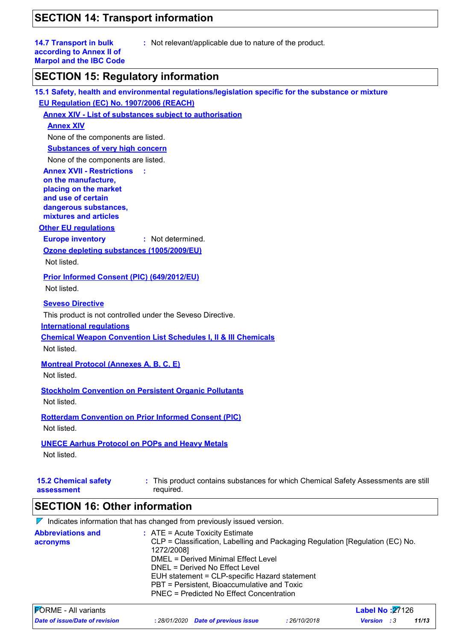## **SECTION 14: Transport information**

| <b>14.7 Transport in bulk</b>  | : N |
|--------------------------------|-----|
| according to Annex II of       |     |
| <b>Marpol and the IBC Code</b> |     |

**:** Not relevant/applicable due to nature of the product.

### **SECTION 15: Regulatory information**

| 15.1 Safety, health and environmental regulations/legislation specific for the substance or mixture |  |
|-----------------------------------------------------------------------------------------------------|--|
| EU Regulation (EC) No. 1907/2006 (REACH)                                                            |  |

**Annex XIV - List of substances subject to authorisation**

**:**

#### **Annex XIV**

None of the components are listed.

**Substances of very high concern**

None of the components are listed.

#### **Annex XVII - Restrictions on the manufacture, placing on the market and use of certain dangerous substances, mixtures and articles**

**Other EU regulations**

**Europe inventory :** Not determined.

**Ozone depleting substances (1005/2009/EU)**

Not listed.

**Prior Informed Consent (PIC) (649/2012/EU)**

Not listed.

#### **Seveso Directive**

This product is not controlled under the Seveso Directive.

**International regulations**

**Chemical Weapon Convention List Schedules I, II & III Chemicals**

Not listed.

**Montreal Protocol (Annexes A, B, C, E)**

Not listed.

**Stockholm Convention on Persistent Organic Pollutants**

Not listed.

**Rotterdam Convention on Prior Informed Consent (PIC)** Not listed.

#### **UNECE Aarhus Protocol on POPs and Heavy Metals**

Not listed.

| <b>15.2 Chemical safety</b> | This product contains substances for which Chemical Safety Assessments are still |
|-----------------------------|----------------------------------------------------------------------------------|
| assessment                  | required.                                                                        |

### **SECTION 16: Other information**

|                             | $\nabla$ Indicates information that has changed from previously issued version. |
|-----------------------------|---------------------------------------------------------------------------------|
| <b>Abbreviations and</b>    | $:$ ATE = Acute Toxicity Estimate                                               |
| acronyms                    | CLP = Classification, Labelling and Packaging Regulation [Regulation (EC) No.   |
|                             | 1272/2008]                                                                      |
|                             | DMEL = Derived Minimal Effect Level                                             |
|                             | DNEL = Derived No Effect Level                                                  |
|                             | EUH statement = CLP-specific Hazard statement                                   |
|                             | PBT = Persistent, Bioaccumulative and Toxic                                     |
|                             | PNEC = Predicted No Effect Concentration                                        |
| <b>FORME</b> - All variants | Label No: $27126$                                                               |